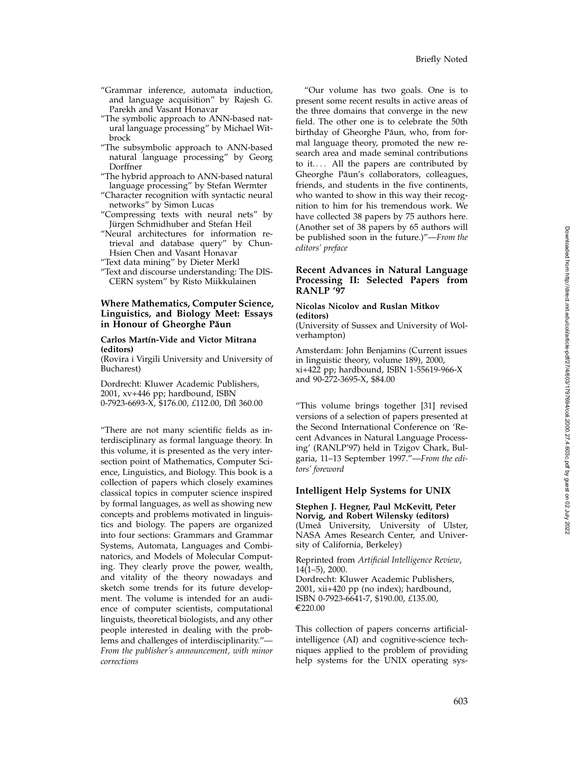- "Grammar inference, automata induction, and language acquisition" by Rajesh G. Parekh and Vasant Honavar
- "The symbolic approach to ANN-based natural language processing" by Michael Witbrock
- "The subsymbolic approach to ANN-based natural language processing" by Georg Dorffner
- "The hybrid approach to ANN-based natural language processing" by Stefan Wermter
- "Character recognition with syntactic neural networks" by Simon Lucas
- "Compressing texts with neural nets" by Jürgen Schmidhuber and Stefan Heil
- "Neural architectures for information retrieval and database query" by Chun-Hsien Chen and Vasant Honavar
- "Text data mining" by Dieter Merkl
- "Text and discourse understanding: The DIS-CERN system" by Risto Miikkulainen

# **Where Mathematics, Computer Science, Linguistics, and Biology Meet: Essays in Honour of Gheorghe Păun**

#### **Carlos Mart´ın-Vide and Victor Mitrana (editors)**

(Rovira i Virgili University and University of Bucharest)

Dordrecht: Kluwer Academic Publishers, 2001, xv+446 pp; hardbound, ISBN 0-7923-6693-X, \$176.00, *£*112.00, Dfl 360.00

"There are not many scientific fields as interdisciplinary as formal language theory. In this volume, it is presented as the very intersection point of Mathematics, Computer Science, Linguistics, and Biology. This book is a collection of papers which closely examines classical topics in computer science inspired by formal languages, as well as showing new concepts and problems motivated in linguistics and biology. The papers are organized into four sections: Grammars and Grammar Systems, Automata, Languages and Combinatorics, and Models of Molecular Computing. They clearly prove the power, wealth, and vitality of the theory nowadays and sketch some trends for its future development. The volume is intended for an audience of computer scientists, computational linguists, theoretical biologists, and any other people interested in dealing with the problems and challenges of interdisciplinarity."— *From the publisher's announcement, with minor corrections*

"Our volume has two goals. One is to present some recent results in active areas of the three domains that converge in the new field. The other one is to celebrate the 50th birthday of Gheorghe Păun, who, from formal language theory, promoted the new research area and made seminal contributions to it.... All the papers are contributed by Gheorghe Păun's collaborators, colleagues, friends, and students in the five continents, who wanted to show in this way their recognition to him for his tremendous work. We have collected 38 papers by 75 authors here. (Another set of 38 papers by 65 authors will be published soon in the future.)"—*From the editors' preface*

## **Recent Advances in Natural Language Processing II: Selected Papers from RANLP '97**

### **Nicolas Nicolov and Ruslan Mitkov (editors)**

(University of Sussex and University of Wolverhampton)

Amsterdam: John Benjamins (Current issues in linguistic theory, volume 189), 2000, xi+422 pp; hardbound, ISBN 1-55619-966-X and 90-272-3695-X, \$84.00

"This volume brings together [31] revised versions of a selection of papers presented at the Second International Conference on 'Recent Advances in Natural Language Processing' (RANLP'97) held in Tzigov Chark, Bulgaria, 11–13 September 1997."—*From the editors' foreword*

### **Intelligent Help Systems for UNIX**

**Stephen J. Hegner, Paul McKevitt, Peter Norvig, and Robert Wilensky (editors)** (Umeå University, University of Ulster, NASA Ames Research Center, and University of California, Berkeley)

Reprinted from *Artificial Intelligence Review* , 14(1–5), 2000.

Dordrecht: Kluwer Academic Publishers, 2001, xii+420 pp (no index); hardbound, ISBN 0-7923-6641-7, \$190.00, *£*135.00,  $€220.00$ 

This collection of papers concerns artificialintelligence (AI) and cognitive-science techniques applied to the problem of providing help systems for the UNIX operating sys